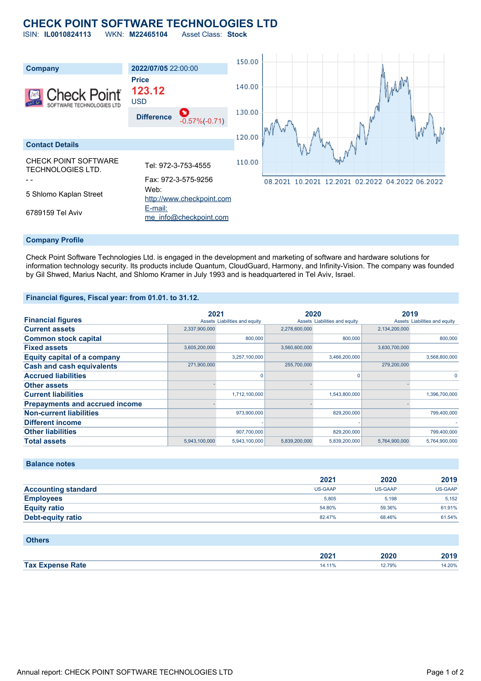## **CHECK POINT SOFTWARE TECHNOLOGIES LTD**

ISIN: **IL0010824113** WKN: **M22465104** Asset Class: **Stock**





#### **Company Profile**

Check Point Software Technologies Ltd. is engaged in the development and marketing of software and hardware solutions for information technology security. Its products include Quantum, CloudGuard, Harmony, and Infinity-Vision. The company was founded by Gil Shwed, Marius Nacht, and Shlomo Kramer in July 1993 and is headquartered in Tel Aviv, Israel.

#### **Financial figures, Fiscal year: from 01.01. to 31.12.**

|                                       | 2021          |                               | 2020          |                               |               | 2019                          |
|---------------------------------------|---------------|-------------------------------|---------------|-------------------------------|---------------|-------------------------------|
| <b>Financial figures</b>              |               | Assets Liabilities and equity |               | Assets Liabilities and equity |               | Assets Liabilities and equity |
| <b>Current assets</b>                 | 2,337,900,000 |                               | 2,278,600,000 |                               | 2,134,200,000 |                               |
| <b>Common stock capital</b>           |               | 800,000                       |               | 800,000                       |               | 800,000                       |
| <b>Fixed assets</b>                   | 3,605,200,000 |                               | 3,560,600,000 |                               | 3,630,700,000 |                               |
| Equity capital of a company           |               | 3,257,100,000                 |               | 3,466,200,000                 |               | 3,568,800,000                 |
| <b>Cash and cash equivalents</b>      | 271,900,000   |                               | 255,700,000   |                               | 279,200,000   |                               |
| <b>Accrued liabilities</b>            |               |                               |               | O                             |               | $\Omega$                      |
| <b>Other assets</b>                   |               |                               |               |                               |               |                               |
| <b>Current liabilities</b>            |               | 1,712,100,000                 |               | 1,543,800,000                 |               | 1,396,700,000                 |
| <b>Prepayments and accrued income</b> |               |                               |               |                               |               |                               |
| <b>Non-current liabilities</b>        |               | 973.900.000                   |               | 829,200,000                   |               | 799,400,000                   |
| <b>Different income</b>               |               |                               |               |                               |               |                               |
| <b>Other liabilities</b>              |               | 907,700,000                   |               | 829,200,000                   |               | 799,400,000                   |
| <b>Total assets</b>                   | 5,943,100,000 | 5,943,100,000                 | 5,839,200,000 | 5,839,200,000                 | 5,764,900,000 | 5,764,900,000                 |

#### **Balance notes**

|                            | 2021           | 2020           | 2019    |
|----------------------------|----------------|----------------|---------|
| <b>Accounting standard</b> | <b>US-GAAP</b> | <b>US-GAAP</b> | US-GAAP |
| <b>Employees</b>           | 5.805          | 5.198          | 5,152   |
| <b>Equity ratio</b>        | 54.80%         | 59.36%         | 61.91%  |
| Debt-equity ratio          | 82.47%         | 68.46%         | 61.54%  |

#### **Others**

|                         | הממ<br>AUA L<br>_____ | 2020<br>_____ | 3040   |
|-------------------------|-----------------------|---------------|--------|
| <b>Tax Expense Rate</b> | 14.1170               | .2.79%        | 14.20% |